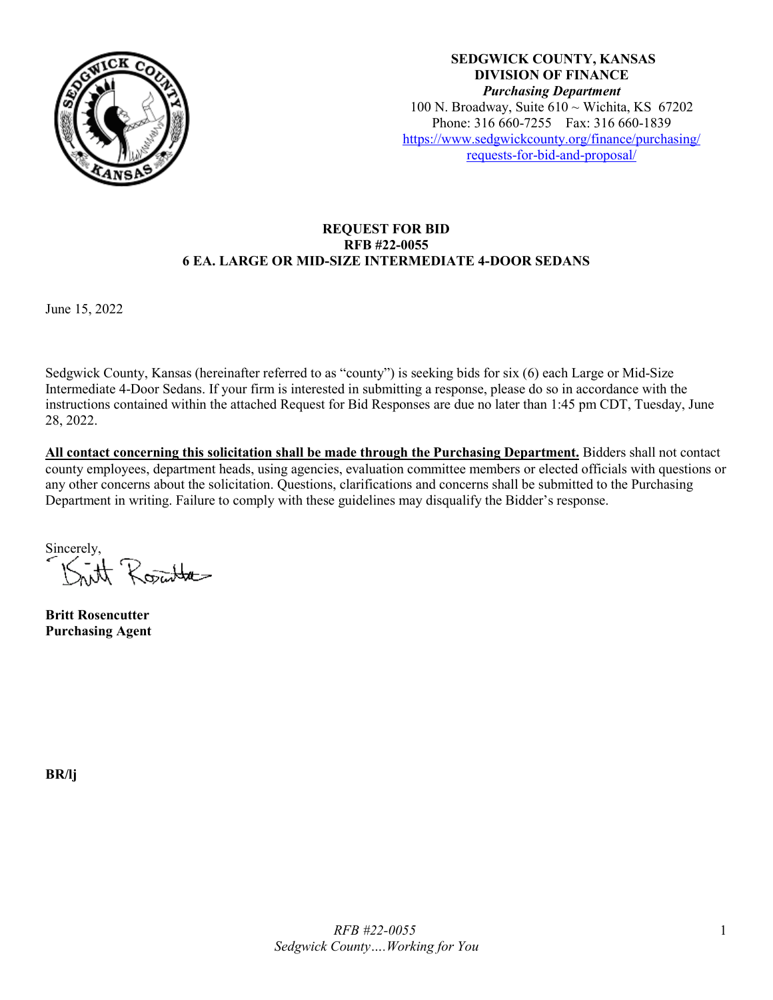

**SEDGWICK COUNTY, KANSAS DIVISION OF FINANCE** *Purchasing Department* 100 N. Broadway, Suite  $610 \sim$  Wichita, KS 67202 Phone: 316 660-7255 Fax: 316 660-1839 [https://www.sedgwickcounty.org/finance/purchasing/](https://www.sedgwickcounty.org/finance/purchasing/requests-for-bid-and-proposal/)  [requests-for-bid-and-proposal/](https://www.sedgwickcounty.org/finance/purchasing/requests-for-bid-and-proposal/)

#### **REQUEST FOR BID RFB #22-0055 6 EA. LARGE OR MID-SIZE INTERMEDIATE 4-DOOR SEDANS**

June 15, 2022

Sedgwick County, Kansas (hereinafter referred to as "county") is seeking bids for six (6) each Large or Mid-Size Intermediate 4-Door Sedans. If your firm is interested in submitting a response, please do so in accordance with the instructions contained within the attached Request for Bid Responses are due no later than 1:45 pm CDT, Tuesday, June 28, 2022.

**All contact concerning this solicitation shall be made through the Purchasing Department.** Bidders shall not contact county employees, department heads, using agencies, evaluation committee members or elected officials with questions or any other concerns about the solicitation. Questions, clarifications and concerns shall be submitted to the Purchasing Department in writing. Failure to comply with these guidelines may disqualify the Bidder's response.

Sincerely, int Route

**Britt Rosencutter Purchasing Agent**

**BR/lj**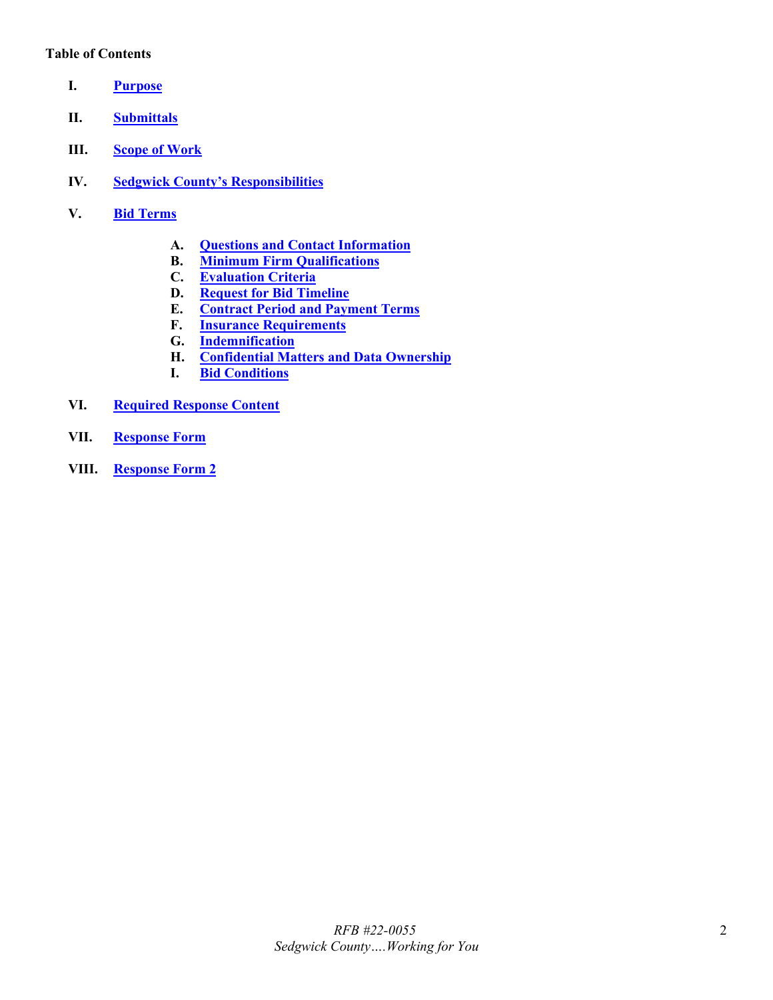### **Table of Contents**

- <span id="page-1-0"></span>**I. [Purpose](#page-2-0)**
- <span id="page-1-1"></span>**II. [Submittals](#page-2-1)**
- <span id="page-1-2"></span>**III. [Scope of Work](#page-2-2)**
- <span id="page-1-3"></span>**IV. [Sedgwick County's Responsibilities](#page-3-0)**
- <span id="page-1-9"></span><span id="page-1-8"></span><span id="page-1-7"></span><span id="page-1-6"></span><span id="page-1-5"></span><span id="page-1-4"></span>**V. Bid [Terms](#page-3-1)**
	- **A. [Questions and Contact Information](#page-3-2)**
	- **B. [Minimum Firm Qualifications](#page-3-3)**
	- **C. [Evaluation Criteria](#page-4-0)**
	- **D. [Request for Bid](#page-4-1) Timeline**
	- **E. [Contract Period and Payment Terms](#page-4-2)**
	- **F. [Insurance Requirements](#page-4-3)**
	- **G. [Indemnification](#page-5-0)**
	- **H. [Confidential Matters and Data Ownership](#page-5-1)**
	- **I. [Bid Conditions](#page-6-0)**
- <span id="page-1-14"></span><span id="page-1-13"></span><span id="page-1-12"></span><span id="page-1-11"></span><span id="page-1-10"></span>**VI. [Required Response Content](#page-6-1)**
- <span id="page-1-15"></span>**VII. [Response Form](#page-7-0)**
- <span id="page-1-16"></span>**VIII. [Response Form 2](#page-8-0)**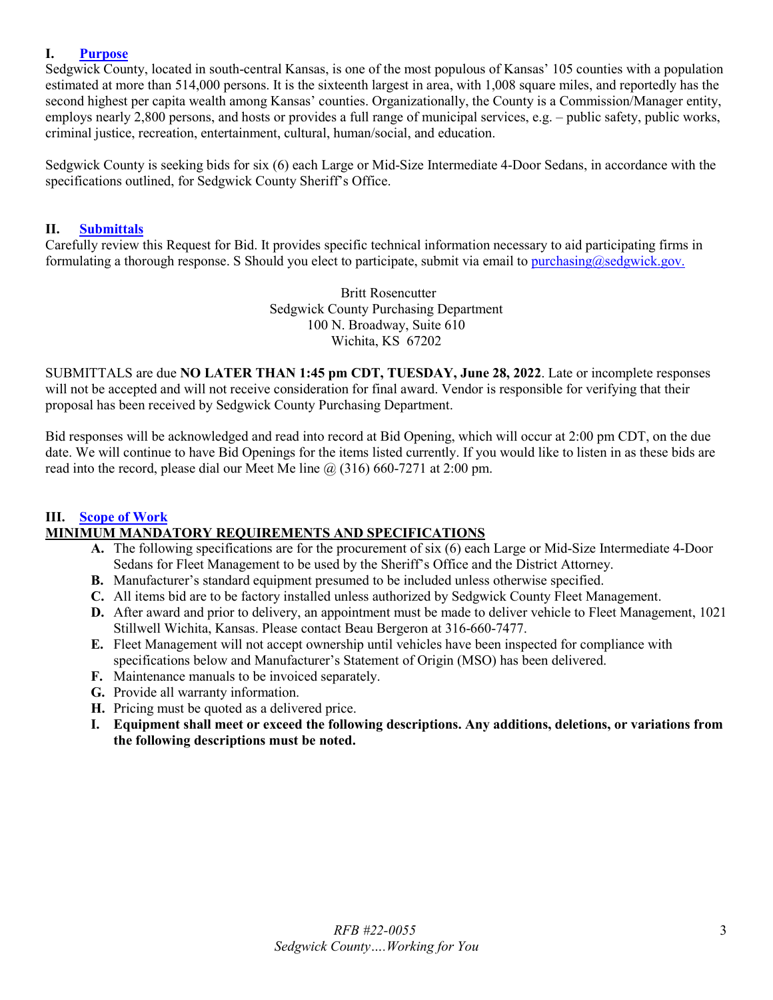### <span id="page-2-0"></span>**I. [Purpose](#page-1-0)**

Sedgwick County, located in south-central Kansas, is one of the most populous of Kansas' 105 counties with a population estimated at more than 514,000 persons. It is the sixteenth largest in area, with 1,008 square miles, and reportedly has the second highest per capita wealth among Kansas' counties. Organizationally, the County is a Commission/Manager entity, employs nearly 2,800 persons, and hosts or provides a full range of municipal services, e.g. – public safety, public works, criminal justice, recreation, entertainment, cultural, human/social, and education.

Sedgwick County is seeking bids for six (6) each Large or Mid-Size Intermediate 4-Door Sedans, in accordance with the specifications outlined, for Sedgwick County Sheriff's Office.

#### <span id="page-2-1"></span>**II. [Submittals](#page-1-1)**

Carefully review this Request for Bid. It provides specific technical information necessary to aid participating firms in formulating a thorough response. S Should you elect to participate, submit via email to [purchasing@sedgwick.gov.](mailto:purchasing@sedgwick.gov)

> Britt Rosencutter Sedgwick County Purchasing Department 100 N. Broadway, Suite 610 Wichita, KS 67202

SUBMITTALS are due **NO LATER THAN 1:45 pm CDT, TUESDAY, June 28, 2022**. Late or incomplete responses will not be accepted and will not receive consideration for final award. Vendor is responsible for verifying that their proposal has been received by Sedgwick County Purchasing Department.

Bid responses will be acknowledged and read into record at Bid Opening, which will occur at 2:00 pm CDT, on the due date. We will continue to have Bid Openings for the items listed currently. If you would like to listen in as these bids are read into the record, please dial our Meet Me line  $\omega$  (316) 660-7271 at 2:00 pm.

### <span id="page-2-2"></span>**III. [Scope of Work](#page-1-2) MINIMUM MANDATORY REQUIREMENTS AND SPECIFICATIONS**

- **A.** The following specifications are for the procurement of six (6) each Large or Mid-Size Intermediate 4-Door Sedans for Fleet Management to be used by the Sheriff's Office and the District Attorney.
- **B.** Manufacturer's standard equipment presumed to be included unless otherwise specified.
- **C.** All items bid are to be factory installed unless authorized by Sedgwick County Fleet Management.
- **D.** After award and prior to delivery, an appointment must be made to deliver vehicle to Fleet Management, 1021 Stillwell Wichita, Kansas. Please contact Beau Bergeron at 316-660-7477.
- **E.** Fleet Management will not accept ownership until vehicles have been inspected for compliance with specifications below and Manufacturer's Statement of Origin (MSO) has been delivered.
- **F.** Maintenance manuals to be invoiced separately.
- **G.** Provide all warranty information.
- **H.** Pricing must be quoted as a delivered price.
- **I. Equipment shall meet or exceed the following descriptions. Any additions, deletions, or variations from the following descriptions must be noted.**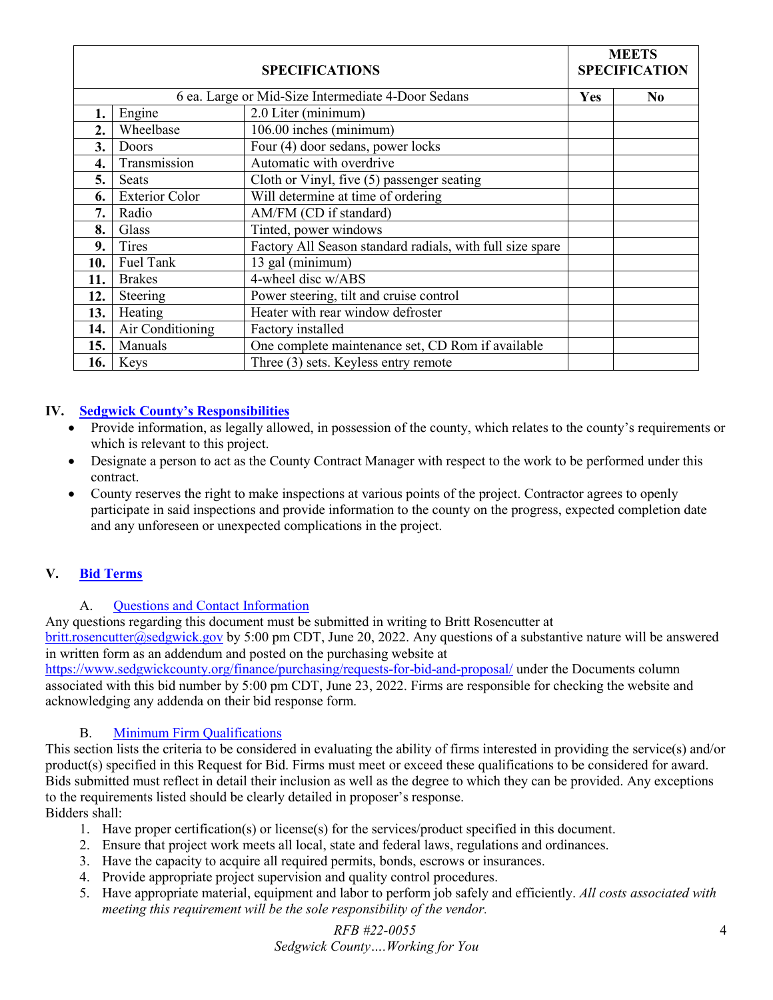| <b>SPECIFICATIONS</b> |                       |                                                           |  | <b>MEETS</b><br><b>SPECIFICATION</b> |  |
|-----------------------|-----------------------|-----------------------------------------------------------|--|--------------------------------------|--|
|                       |                       | 6 ea. Large or Mid-Size Intermediate 4-Door Sedans        |  | N <sub>0</sub>                       |  |
|                       | Engine                | 2.0 Liter (minimum)                                       |  |                                      |  |
| 2.                    | Wheelbase             | 106.00 inches (minimum)                                   |  |                                      |  |
| 3.                    | Doors                 | Four (4) door sedans, power locks                         |  |                                      |  |
| 4.                    | Transmission          | Automatic with overdrive                                  |  |                                      |  |
| 5.                    | <b>Seats</b>          | Cloth or Vinyl, five (5) passenger seating                |  |                                      |  |
| 6.                    | <b>Exterior Color</b> | Will determine at time of ordering                        |  |                                      |  |
| 7.                    | Radio                 | AM/FM (CD if standard)                                    |  |                                      |  |
| 8.                    | Glass                 | Tinted, power windows                                     |  |                                      |  |
| 9.                    | <b>Tires</b>          | Factory All Season standard radials, with full size spare |  |                                      |  |
| 10.                   | Fuel Tank             | 13 gal (minimum)                                          |  |                                      |  |
| 11.                   | <b>Brakes</b>         | 4-wheel disc w/ABS                                        |  |                                      |  |
| 12.                   | Steering              | Power steering, tilt and cruise control                   |  |                                      |  |
| 13.                   | Heating               | Heater with rear window defroster                         |  |                                      |  |
| 14.                   | Air Conditioning      | Factory installed                                         |  |                                      |  |
| 15.                   | Manuals               | One complete maintenance set, CD Rom if available         |  |                                      |  |
| 16.                   | Keys                  | Three (3) sets. Keyless entry remote                      |  |                                      |  |

## <span id="page-3-0"></span>**IV. [Sedgwick County's Responsibilities](#page-1-3)**

- Provide information, as legally allowed, in possession of the county, which relates to the county's requirements or which is relevant to this project.
- Designate a person to act as the County Contract Manager with respect to the work to be performed under this contract.
- County reserves the right to make inspections at various points of the project. Contractor agrees to openly participate in said inspections and provide information to the county on the progress, expected completion date and any unforeseen or unexpected complications in the project.

# <span id="page-3-1"></span>**V. Bid [Terms](#page-1-4)**

### A. [Questions and Contact Information](#page-1-5)

<span id="page-3-2"></span>Any questions regarding this document must be submitted in writing to Britt Rosencutter at  $brit. rosencutter@, sedgwick.gov$  by 5:00 pm CDT, June 20, 2022. Any questions of a substantive nature will be answered in written form as an addendum and posted on the purchasing website at

<https://www.sedgwickcounty.org/finance/purchasing/requests-for-bid-and-proposal/>under the Documents column associated with this bid number by 5:00 pm CDT, June 23, 2022. Firms are responsible for checking the website and acknowledging any addenda on their bid response form.

# B. [Minimum Firm Qualifications](#page-1-6)

<span id="page-3-3"></span>This section lists the criteria to be considered in evaluating the ability of firms interested in providing the service(s) and/or product(s) specified in this Request for Bid. Firms must meet or exceed these qualifications to be considered for award. Bids submitted must reflect in detail their inclusion as well as the degree to which they can be provided. Any exceptions to the requirements listed should be clearly detailed in proposer's response.

# Bidders shall:

- 1. Have proper certification(s) or license(s) for the services/product specified in this document.
- 2. Ensure that project work meets all local, state and federal laws, regulations and ordinances.
- 3. Have the capacity to acquire all required permits, bonds, escrows or insurances.
- 4. Provide appropriate project supervision and quality control procedures.
- 5. Have appropriate material, equipment and labor to perform job safely and efficiently. *All costs associated with meeting this requirement will be the sole responsibility of the vendor.*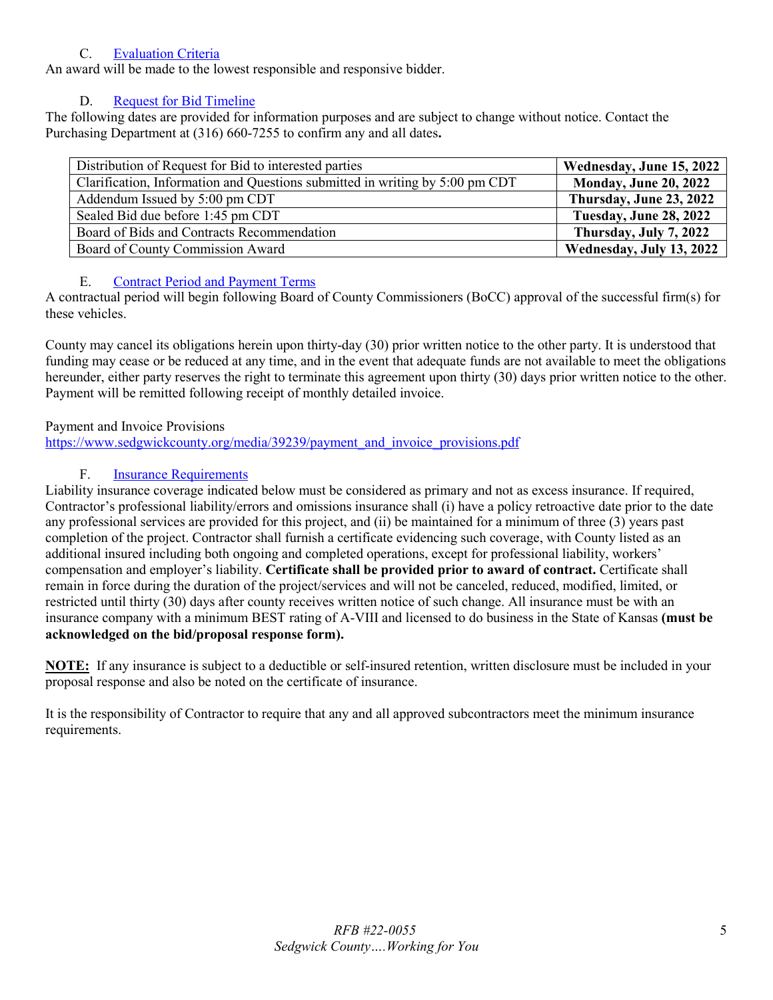## C. [Evaluation Criteria](#page-1-7)

<span id="page-4-0"></span>An award will be made to the lowest responsible and responsive bidder.

# D. [Request for Bid](#page-1-8) Timeline

<span id="page-4-1"></span>The following dates are provided for information purposes and are subject to change without notice. Contact the Purchasing Department at (316) 660-7255 to confirm any and all dates**.** 

| Distribution of Request for Bid to interested parties                        | Wednesday, June 15, 2022     |
|------------------------------------------------------------------------------|------------------------------|
| Clarification, Information and Questions submitted in writing by 5:00 pm CDT | <b>Monday, June 20, 2022</b> |
| Addendum Issued by 5:00 pm CDT                                               | Thursday, June 23, 2022      |
| Sealed Bid due before 1:45 pm CDT                                            | Tuesday, June 28, 2022       |
| Board of Bids and Contracts Recommendation                                   | Thursday, July 7, 2022       |
| Board of County Commission Award                                             | Wednesday, July 13, 2022     |

# E. [Contract Period and Payment Terms](#page-1-9)

<span id="page-4-2"></span>A contractual period will begin following Board of County Commissioners (BoCC) approval of the successful firm(s) for these vehicles.

County may cancel its obligations herein upon thirty-day (30) prior written notice to the other party. It is understood that funding may cease or be reduced at any time, and in the event that adequate funds are not available to meet the obligations hereunder, either party reserves the right to terminate this agreement upon thirty (30) days prior written notice to the other. Payment will be remitted following receipt of monthly detailed invoice.

# Payment and Invoice Provisions

[https://www.sedgwickcounty.org/media/39239/payment\\_and\\_invoice\\_provisions.pdf](https://www.sedgwickcounty.org/media/39239/payment_and_invoice_provisions.pdf)

# F. [Insurance Requirements](#page-1-10)

<span id="page-4-3"></span>Liability insurance coverage indicated below must be considered as primary and not as excess insurance. If required, Contractor's professional liability/errors and omissions insurance shall (i) have a policy retroactive date prior to the date any professional services are provided for this project, and (ii) be maintained for a minimum of three (3) years past completion of the project. Contractor shall furnish a certificate evidencing such coverage, with County listed as an additional insured including both ongoing and completed operations, except for professional liability, workers' compensation and employer's liability. **Certificate shall be provided prior to award of contract.** Certificate shall remain in force during the duration of the project/services and will not be canceled, reduced, modified, limited, or restricted until thirty (30) days after county receives written notice of such change. All insurance must be with an insurance company with a minimum BEST rating of A-VIII and licensed to do business in the State of Kansas **(must be acknowledged on the bid/proposal response form).**

**NOTE:** If any insurance is subject to a deductible or self-insured retention, written disclosure must be included in your proposal response and also be noted on the certificate of insurance.

It is the responsibility of Contractor to require that any and all approved subcontractors meet the minimum insurance requirements.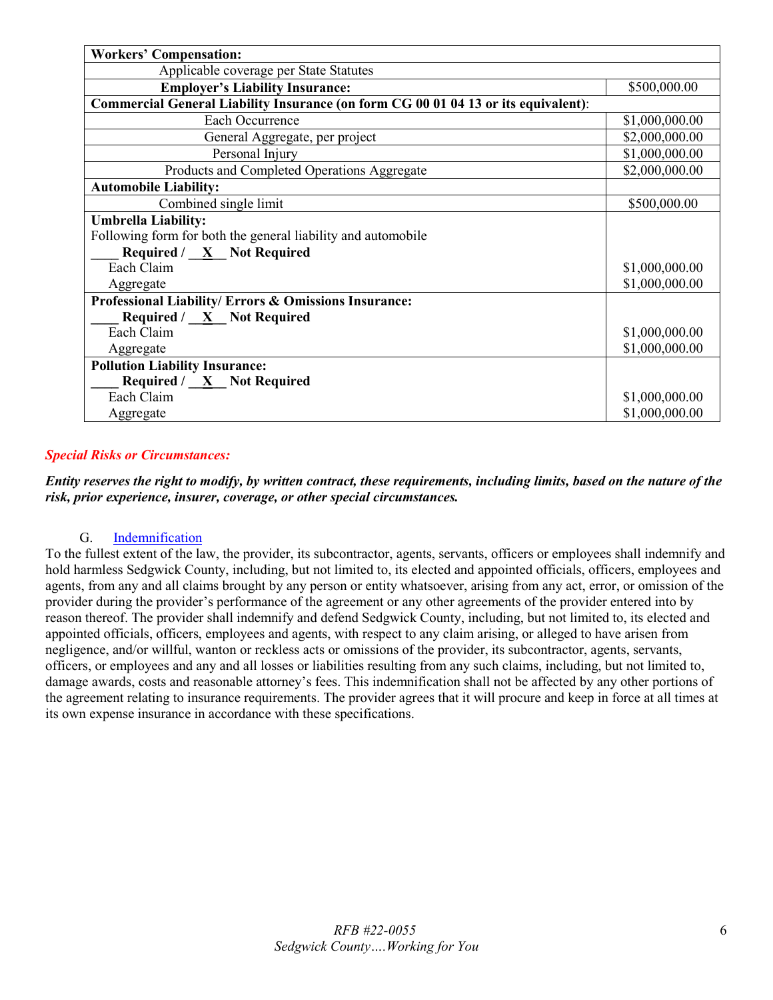| <b>Workers' Compensation:</b>                                                      |                |  |  |  |  |
|------------------------------------------------------------------------------------|----------------|--|--|--|--|
| Applicable coverage per State Statutes                                             |                |  |  |  |  |
| <b>Employer's Liability Insurance:</b>                                             | \$500,000.00   |  |  |  |  |
| Commercial General Liability Insurance (on form CG 00 01 04 13 or its equivalent): |                |  |  |  |  |
| Each Occurrence                                                                    | \$1,000,000.00 |  |  |  |  |
| General Aggregate, per project                                                     | \$2,000,000.00 |  |  |  |  |
| Personal Injury                                                                    | \$1,000,000.00 |  |  |  |  |
| Products and Completed Operations Aggregate                                        | \$2,000,000.00 |  |  |  |  |
| <b>Automobile Liability:</b>                                                       |                |  |  |  |  |
| Combined single limit                                                              | \$500,000.00   |  |  |  |  |
| <b>Umbrella Liability:</b>                                                         |                |  |  |  |  |
| Following form for both the general liability and automobile                       |                |  |  |  |  |
| Required / $X$ Not Required                                                        |                |  |  |  |  |
| Each Claim                                                                         | \$1,000,000.00 |  |  |  |  |
| Aggregate                                                                          | \$1,000,000.00 |  |  |  |  |
| Professional Liability/ Errors & Omissions Insurance:                              |                |  |  |  |  |
| <b>Required</b> / $\underline{X}$ Not Required                                     |                |  |  |  |  |
| Each Claim                                                                         | \$1,000,000.00 |  |  |  |  |
| Aggregate                                                                          | \$1,000,000.00 |  |  |  |  |
| <b>Pollution Liability Insurance:</b>                                              |                |  |  |  |  |
| Required $/ \underline{X}$ Not Required                                            |                |  |  |  |  |
| Each Claim                                                                         | \$1,000,000.00 |  |  |  |  |
| Aggregate                                                                          | \$1,000,000.00 |  |  |  |  |

### *Special Risks or Circumstances:*

*Entity reserves the right to modify, by written contract, these requirements, including limits, based on the nature of the risk, prior experience, insurer, coverage, or other special circumstances.*

### G. [Indemnification](#page-1-11)

<span id="page-5-1"></span><span id="page-5-0"></span>To the fullest extent of the law, the provider, its subcontractor, agents, servants, officers or employees shall indemnify and hold harmless Sedgwick County, including, but not limited to, its elected and appointed officials, officers, employees and agents, from any and all claims brought by any person or entity whatsoever, arising from any act, error, or omission of the provider during the provider's performance of the agreement or any other agreements of the provider entered into by reason thereof. The provider shall indemnify and defend Sedgwick County, including, but not limited to, its elected and appointed officials, officers, employees and agents, with respect to any claim arising, or alleged to have arisen from negligence, and/or willful, wanton or reckless acts or omissions of the provider, its subcontractor, agents, servants, officers, or employees and any and all losses or liabilities resulting from any such claims, including, but not limited to, damage awards, costs and reasonable attorney's fees. This indemnification shall not be affected by any other portions of the agreement relating to insurance requirements. The provider agrees that it will procure and keep in force at all times at its own expense insurance in accordance with these specifications.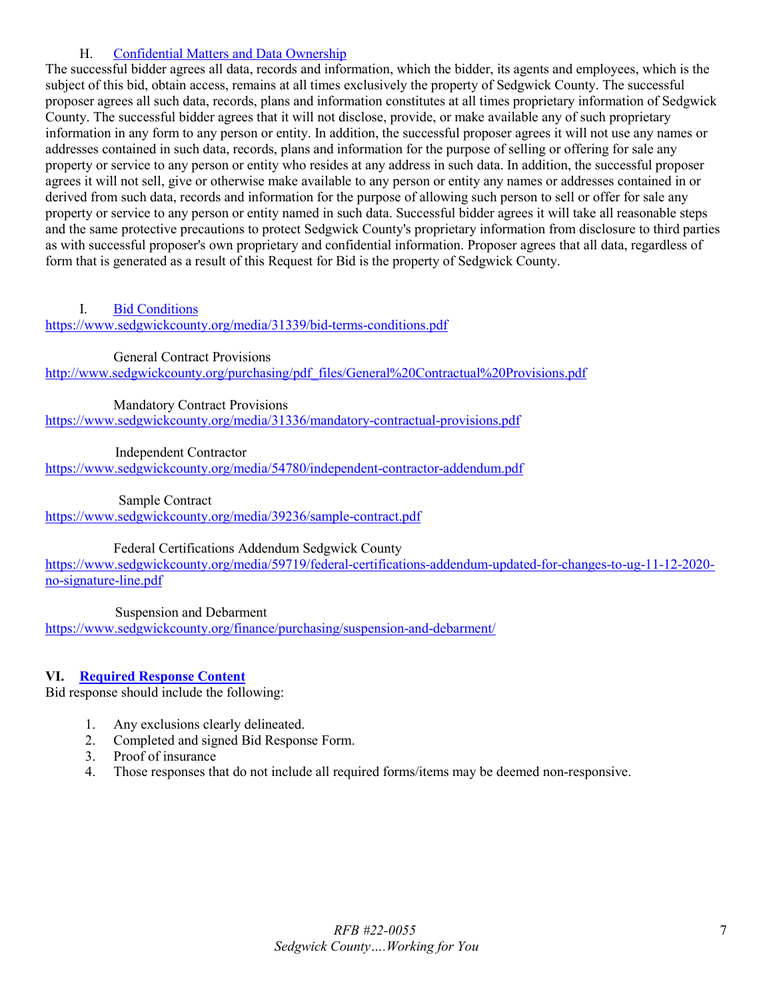## H. [Confidential Matters and Data Ownership](#page-1-12)

The successful bidder agrees all data, records and information, which the bidder, its agents and employees, which is the subject of this bid, obtain access, remains at all times exclusively the property of Sedgwick County. The successful proposer agrees all such data, records, plans and information constitutes at all times proprietary information of Sedgwick County. The successful bidder agrees that it will not disclose, provide, or make available any of such proprietary information in any form to any person or entity. In addition, the successful proposer agrees it will not use any names or addresses contained in such data, records, plans and information for the purpose of selling or offering for sale any property or service to any person or entity who resides at any address in such data. In addition, the successful proposer agrees it will not sell, give or otherwise make available to any person or entity any names or addresses contained in or derived from such data, records and information for the purpose of allowing such person to sell or offer for sale any property or service to any person or entity named in such data. Successful bidder agrees it will take all reasonable steps and the same protective precautions to protect Sedgwick County's proprietary information from disclosure to third parties as with successful proposer's own proprietary and confidential information. Proposer agrees that all data, regardless of form that is generated as a result of this Request for Bid is the property of Sedgwick County.

### <span id="page-6-0"></span>I. [Bid Conditions](#page-1-13)

<https://www.sedgwickcounty.org/media/31339/bid-terms-conditions.pdf>

General Contract Provisions

http://www.sedgwickcounty.org/purchasing/pdf\_files/General%20Contractual%20Provisions.pdf

Mandatory Contract Provisions

<https://www.sedgwickcounty.org/media/31336/mandatory-contractual-provisions.pdf>

Independent Contractor

<https://www.sedgwickcounty.org/media/54780/independent-contractor-addendum.pdf>

Sample Contract

<https://www.sedgwickcounty.org/media/39236/sample-contract.pdf>

Federal Certifications Addendum Sedgwick County

[https://www.sedgwickcounty.org/media/59719/federal-certifications-addendum-updated-for-changes-to-ug-11-12-2020](https://www.sedgwickcounty.org/media/59719/federal-certifications-addendum-updated-for-changes-to-ug-11-12-2020-no-signature-line.pdf) [no-signature-line.pdf](https://www.sedgwickcounty.org/media/59719/federal-certifications-addendum-updated-for-changes-to-ug-11-12-2020-no-signature-line.pdf)

Suspension and Debarment

<https://www.sedgwickcounty.org/finance/purchasing/suspension-and-debarment/>

### <span id="page-6-1"></span>**VI. [Required Response Content](#page-1-14)**

Bid response should include the following:

- 1. Any exclusions clearly delineated.
- 2. Completed and signed Bid Response Form.
- 3. Proof of insurance
- 4. Those responses that do not include all required forms/items may be deemed non-responsive.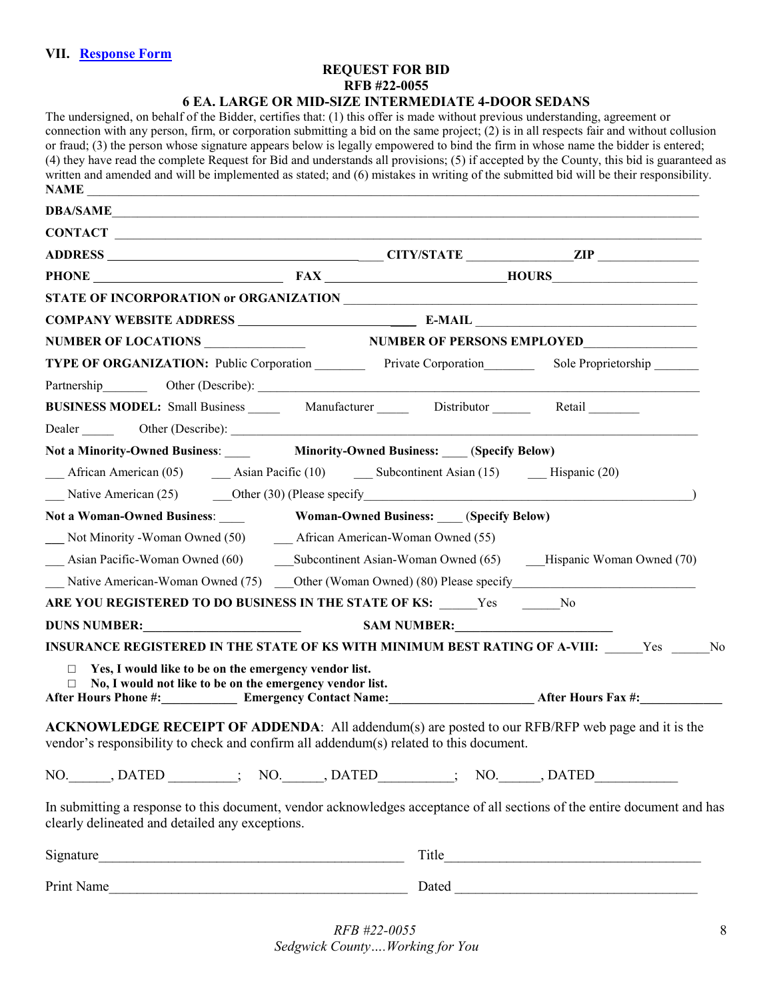#### **REQUEST FOR BID RFB #22-0055 6 EA. LARGE OR MID-SIZE INTERMEDIATE 4-DOOR SEDANS**

<span id="page-7-0"></span>The undersigned, on behalf of the Bidder, certifies that: (1) this offer is made without previous understanding, agreement or connection with any person, firm, or corporation submitting a bid on the same project; (2) is in all respects fair and without collusion or fraud; (3) the person whose signature appears below is legally empowered to bind the firm in whose name the bidder is entered; (4) they have read the complete Request for Bid and understands all provisions; (5) if accepted by the County, this bid is guaranteed as written and amended and will be implemented as stated; and (6) mistakes in writing of the submitted bid will be their responsibility. **NAME** \_\_\_\_\_\_\_\_\_\_\_\_\_\_\_\_\_\_\_\_\_\_\_\_\_\_\_\_\_\_\_\_\_\_\_\_\_\_\_\_\_\_\_\_\_\_\_\_\_\_\_\_\_\_\_\_\_\_\_\_\_\_\_\_\_\_\_\_\_\_\_\_\_\_\_\_\_\_\_\_\_\_\_\_\_\_\_\_\_\_\_\_\_\_\_\_\_ **DBA/SAME**\_\_\_\_\_\_\_\_\_\_\_\_\_\_\_\_\_\_\_\_\_\_\_\_\_\_\_\_\_\_\_\_\_\_\_\_\_\_\_\_\_\_\_\_\_\_\_\_\_\_\_\_\_\_\_\_\_\_\_\_\_\_\_\_\_\_\_\_\_\_\_\_\_\_\_\_\_\_\_\_\_\_\_\_\_\_\_\_\_\_\_\_\_  $$ **ADDRESS** \_\_\_\_ **CITY/STATE** \_\_\_\_\_\_\_\_\_\_\_\_\_\_\_\_\_**ZIP** \_\_\_\_\_\_\_\_\_\_\_\_\_\_\_\_ **PHONE FAX HOURS STATE OF INCORPORATION or ORGANIZATION COMPANY WEBSITE ADDRESS E-MAIL** NUMBER OF LOCATIONS **NUMBER OF PERSONS EMPLOYED TYPE OF ORGANIZATION:** Public Corporation **\_\_\_\_\_\_\_\_\_** Private Corporation Sole Proprietorship \_\_\_\_\_\_ Partnership Other (Describe): **BUSINESS MODEL:** Small Business **Manufacturer** Distributor **Retail** Retail Dealer Other (Describe): **Not a Minority-Owned Business**: \_\_\_\_ **Minority-Owned Business:** \_\_\_\_ (**Specify Below)** African American (05)  $\qquad \qquad$  Asian Pacific (10)  $\qquad \qquad$  Subcontinent Asian (15)  $\qquad \qquad$  Hispanic (20) Native American (25) Other (30) (Please specify  $\qquad \qquad$ ) **Not a Woman-Owned Business**: \_\_\_\_ **Woman-Owned Business:** \_\_\_\_ (**Specify Below) \_\_\_** Not Minority -Woman Owned (50) \_\_\_ African American-Woman Owned (55) Asian Pacific-Woman Owned (60) Subcontinent Asian-Woman Owned (65) \_\_\_\_Hispanic Woman Owned (70) Native American-Woman Owned (75) Other (Woman Owned) (80) Please specify **ARE YOU REGISTERED TO DO BUSINESS IN THE STATE OF KS:** \_\_\_\_\_\_Yes \_\_\_\_\_\_No **DUNS NUMBER:**<br>SAM NUMBER: **INSURANCE REGISTERED IN THE STATE OF KS WITH MINIMUM BEST RATING OF A-VIII:** Yes No □ **Yes, I would like to be on the emergency vendor list.**  □ **No, I would not like to be on the emergency vendor list. After Hours Phone #:\_\_\_\_\_\_\_\_\_\_\_\_ Emergency Contact Name:\_\_\_\_\_\_\_\_\_\_\_\_\_\_\_\_\_\_\_\_\_\_\_ After Hours Fax #:\_\_\_\_\_\_\_\_\_\_\_\_\_ ACKNOWLEDGE RECEIPT OF ADDENDA**: All addendum(s) are posted to our RFB/RFP web page and it is the vendor's responsibility to check and confirm all addendum(s) related to this document. NO. DATED ; NO. DATED ; NO. DATED In submitting a response to this document, vendor acknowledges acceptance of all sections of the entire document and has clearly delineated and detailed any exceptions.  $Signature$   $\ldots$   $\ldots$   $\ldots$   $\ldots$   $\ldots$   $\ldots$   $\ldots$   $\ldots$   $\ldots$   $\ldots$   $\ldots$   $\ldots$   $\ldots$   $\ldots$   $\ldots$   $\ldots$   $\ldots$   $\ldots$   $\ldots$   $\ldots$   $\ldots$   $\ldots$   $\ldots$   $\ldots$   $\ldots$   $\ldots$   $\ldots$   $\ldots$   $\ldots$   $\ldots$   $\ldots$   $\ldots$   $\ldots$   $\ldots$   $\ldots$   $\ldots$ Print Name Dated Dated 2008 and  $\Gamma$